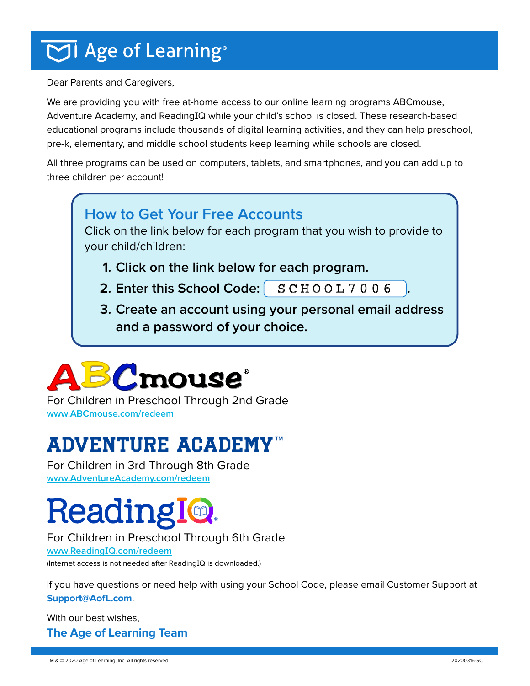## $\overline{\bigcirc}$ l Age of Learning®

Dear Parents and Caregivers,

We are providing you with free at-home access to our online learning programs ABCmouse, Adventure Academy, and ReadingIQ while your child's school is closed. These research-based educational programs include thousands of digital learning activities, and they can help preschool, pre-k, elementary, and middle school students keep learning while schools are closed.

All three programs can be used on computers, tablets, and smartphones, and you can add up to three children per account!

#### **How to Get Your Free Accounts**

Click on the link below for each program that you wish to provide to your child/children:

- **1. Click on the link below for each program.**
- $\mathsf{2.}$  **Enter this School Code:**  $\begin{bmatrix} \mathbf{S}\subset \mathbf{H}\circ \mathbf{O} \mathbf{L} \mathbf{7} \mathbf{0} \mathbf{0} \mathbf{6} \end{bmatrix}$ .
- **3. Create an account using your personal email address and a password of your choice.**



For Children in Preschool Through 2nd Grade **[www.ABCmouse.com/redeem](http://www.ABCmouse.com/redeem  )**

### **ADVENTURE ACADEMY[™](https://www.adventureacademy.com/redeem/)**

For Children in 3rd Through 8th Grade **[www.AdventureAcademy.com/redeem](https://www.adventureacademy.com/redeem/)**

# **Reading**

#### For Children in Preschool Through 6th Grade

**www.ReadingIQ[.com/redeem](https://www.readingiq.com/redeem/)** (Internet access is not needed after ReadingIQ is downloaded.)

If you have questions or need help with using your School Code, please email Customer Support at

#### **[Support@AofL.com](mailto:Support%40AofL.com?subject=School%20Code%20Redemption%20Assistance)**.

With our best wishes, **The Age of Learning Team**